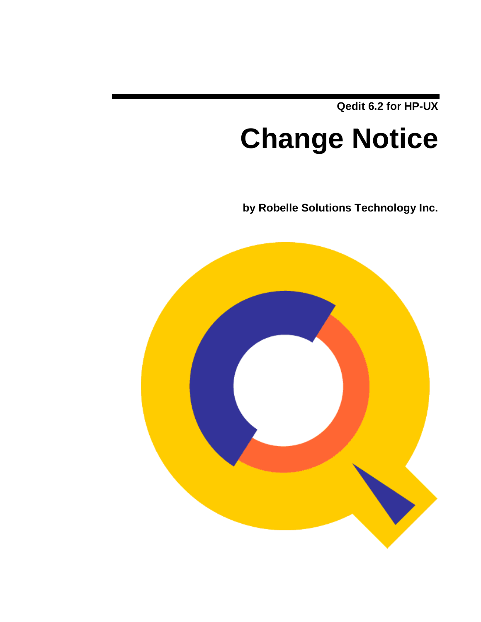**Qedit 6.2 for HP-UX**

# **Change Notice**

**by Robelle Solutions Technology Inc.**

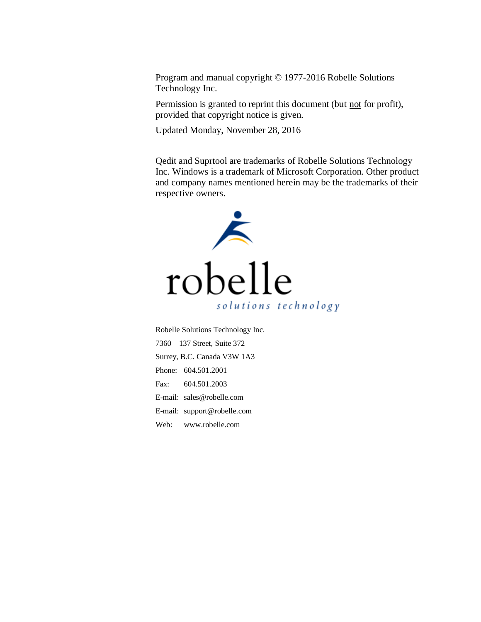Program and manual copyright © 1977-2016 Robelle Solutions Technology Inc.

Permission is granted to reprint this document (but not for profit), provided that copyright notice is given.

Updated Monday, November 28, 2016

Qedit and Suprtool are trademarks of Robelle Solutions Technology Inc. Windows is a trademark of Microsoft Corporation. Other product and company names mentioned herein may be the trademarks of their respective owners.



Robelle Solutions Technology Inc. 7360 – 137 Street, Suite 372 Surrey, B.C. Canada V3W 1A3 Phone: 604.501.2001 Fax: 604.501.2003 E-mail: sales@robelle.com E-mail: support@robelle.com Web: www.robelle.com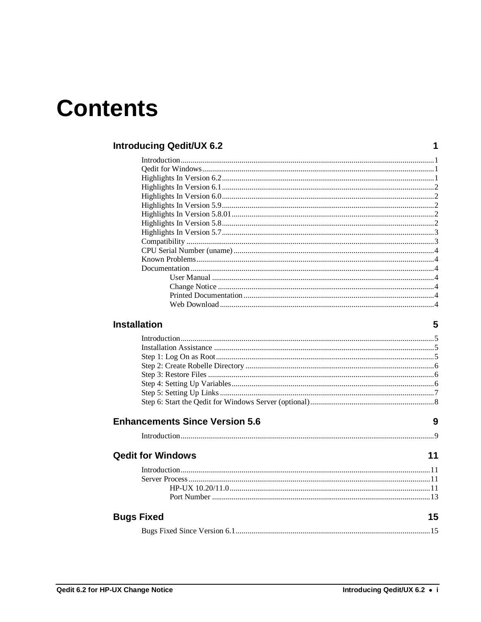## **Contents**

#### **Introducing Qedit/UX 6.2**

#### **Installation**

5

 $\mathbf 1$ 

| <b>Enhancements Since Version 5.6</b> | 9 |
|---------------------------------------|---|

| <b>Qedit for Windows</b> |  |
|--------------------------|--|
|                          |  |
|                          |  |
|                          |  |
|                          |  |
| <b>Bugs Fixed</b>        |  |

|--|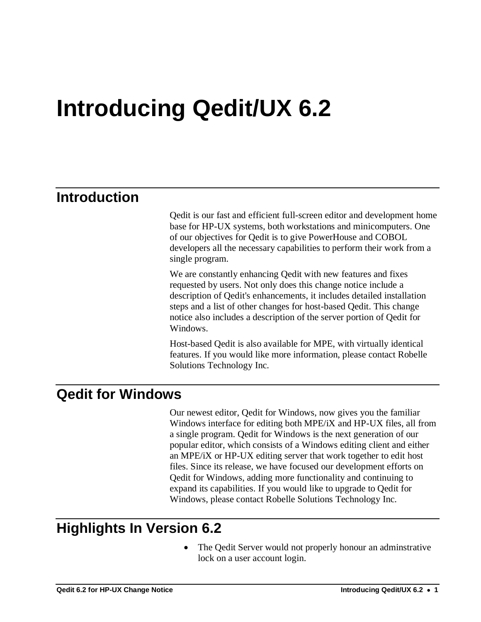## **Introducing Qedit/UX 6.2**

## **Introduction**

Qedit is our fast and efficient full-screen editor and development home base for HP-UX systems, both workstations and minicomputers. One of our objectives for Qedit is to give PowerHouse and COBOL developers all the necessary capabilities to perform their work from a single program.

We are constantly enhancing Qedit with new features and fixes requested by users. Not only does this change notice include a description of Qedit's enhancements, it includes detailed installation steps and a list of other changes for host-based Qedit. This change notice also includes a description of the server portion of Qedit for Windows.

Host-based Qedit is also available for MPE, with virtually identical features. If you would like more information, please contact Robelle Solutions Technology Inc.

### **Qedit for Windows**

Our newest editor, Qedit for Windows, now gives you the familiar Windows interface for editing both MPE/iX and HP-UX files, all from a single program. Qedit for Windows is the next generation of our popular editor, which consists of a Windows editing client and either an MPE/iX or HP-UX editing server that work together to edit host files. Since its release, we have focused our development efforts on Qedit for Windows, adding more functionality and continuing to expand its capabilities. If you would like to upgrade to Qedit for Windows, please contact Robelle Solutions Technology Inc.

## **Highlights In Version 6.2**

 The Qedit Server would not properly honour an adminstrative lock on a user account login.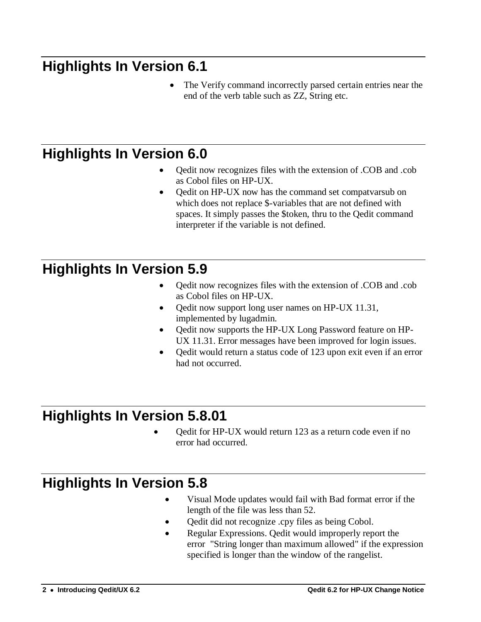## **Highlights In Version 6.1**

 The Verify command incorrectly parsed certain entries near the end of the verb table such as ZZ, String etc.

## **Highlights In Version 6.0**

- Qedit now recognizes files with the extension of .COB and .cob as Cobol files on HP-UX.
- Qedit on HP-UX now has the command set compatvarsub on which does not replace \$-variables that are not defined with spaces. It simply passes the \$token, thru to the Qedit command interpreter if the variable is not defined.

## **Highlights In Version 5.9**

- Qedit now recognizes files with the extension of .COB and .cob as Cobol files on HP-UX.
- Qedit now support long user names on HP-UX 11.31, implemented by lugadmin.
- Qedit now supports the HP-UX Long Password feature on HP-UX 11.31. Error messages have been improved for login issues.
- Qedit would return a status code of 123 upon exit even if an error had not occurred.

## **Highlights In Version 5.8.01**

 Qedit for HP-UX would return 123 as a return code even if no error had occurred.

## **Highlights In Version 5.8**

- Visual Mode updates would fail with Bad format error if the length of the file was less than 52.
- Qedit did not recognize .cpy files as being Cobol.
- Regular Expressions. Qedit would improperly report the error "String longer than maximum allowed" if the expression specified is longer than the window of the rangelist.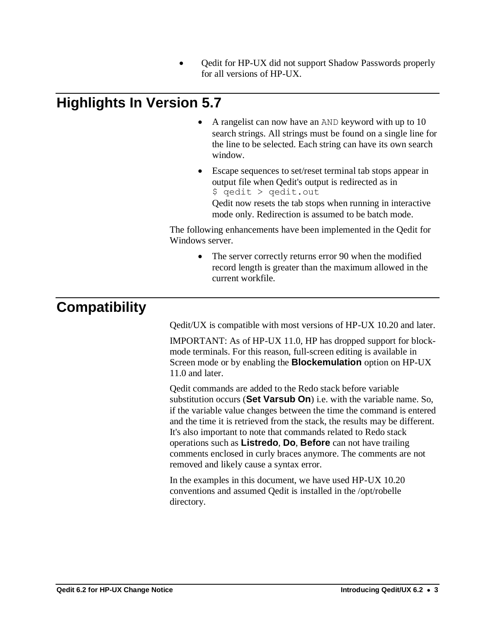Qedit for HP-UX did not support Shadow Passwords properly for all versions of HP-UX.

## **Highlights In Version 5.7**

- A rangelist can now have an AND keyword with up to 10 search strings. All strings must be found on a single line for the line to be selected. Each string can have its own search window.
- Escape sequences to set/reset terminal tab stops appear in output file when Qedit's output is redirected as in \$ qedit > qedit.out Qedit now resets the tab stops when running in interactive mode only. Redirection is assumed to be batch mode.

The following enhancements have been implemented in the Qedit for Windows server.

> • The server correctly returns error 90 when the modified record length is greater than the maximum allowed in the current workfile.

## **Compatibility**

Qedit/UX is compatible with most versions of HP-UX 10.20 and later.

IMPORTANT: As of HP-UX 11.0, HP has dropped support for blockmode terminals. For this reason, full-screen editing is available in Screen mode or by enabling the **Blockemulation** option on HP-UX 11.0 and later.

Qedit commands are added to the Redo stack before variable substitution occurs (**Set Varsub On**) i.e. with the variable name. So, if the variable value changes between the time the command is entered and the time it is retrieved from the stack, the results may be different. It's also important to note that commands related to Redo stack operations such as **Listredo**, **Do**, **Before** can not have trailing comments enclosed in curly braces anymore. The comments are not removed and likely cause a syntax error.

In the examples in this document, we have used HP-UX 10.20 conventions and assumed Qedit is installed in the /opt/robelle directory.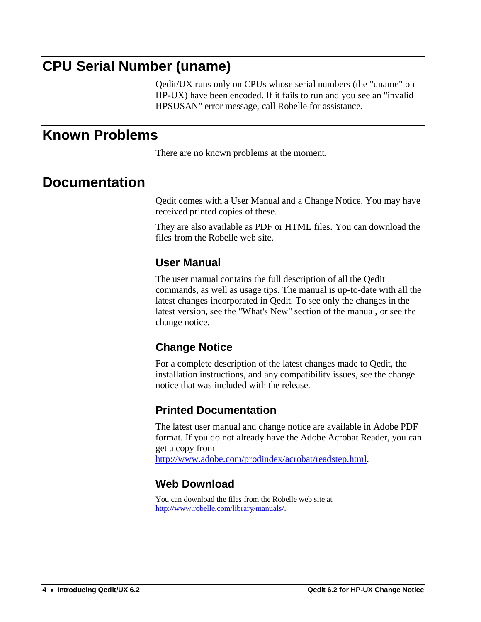## **CPU Serial Number (uname)**

Qedit/UX runs only on CPUs whose serial numbers (the "uname" on HP-UX) have been encoded. If it fails to run and you see an "invalid HPSUSAN" error message, call Robelle for assistance.

### **Known Problems**

There are no known problems at the moment.

### **Documentation**

Qedit comes with a User Manual and a Change Notice. You may have received printed copies of these.

They are also available as PDF or HTML files. You can download the files from the Robelle web site.

#### **User Manual**

The user manual contains the full description of all the Qedit commands, as well as usage tips. The manual is up-to-date with all the latest changes incorporated in Qedit. To see only the changes in the latest version, see the "What's New" section of the manual, or see the change notice.

### **Change Notice**

For a complete description of the latest changes made to Qedit, the installation instructions, and any compatibility issues, see the change notice that was included with the release.

### **Printed Documentation**

The latest user manual and change notice are available in Adobe PDF format. If you do not already have the Adobe Acrobat Reader, you can get a copy from [http://www.adobe.com/prodindex/acrobat/readstep.html.](http://www.adobe.com/prodindex/acrobat/readstep.html)

### **Web Download**

You can download the files from the Robelle web site at [http://www.robelle.com/library/manuals/.](http://www.robelle.com/library/manuals/)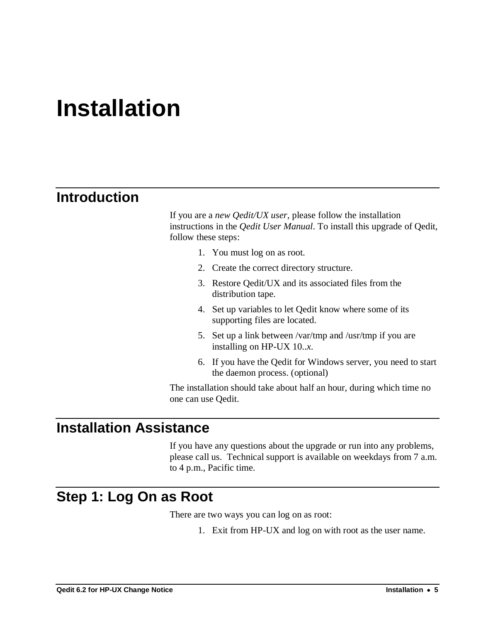## **Installation**

### **Introduction**

If you are a *new Qedit/UX user*, please follow the installation instructions in the *Qedit User Manual*. To install this upgrade of Qedit, follow these steps:

- 1. You must log on as root.
- 2. Create the correct directory structure.
- 3. Restore Qedit/UX and its associated files from the distribution tape.
- 4. Set up variables to let Qedit know where some of its supporting files are located.
- 5. Set up a link between /var/tmp and /usr/tmp if you are installing on HP-UX 10..*x*.
- 6. If you have the Qedit for Windows server, you need to start the daemon process. (optional)

The installation should take about half an hour, during which time no one can use Qedit.

### **Installation Assistance**

If you have any questions about the upgrade or run into any problems, please call us. Technical support is available on weekdays from 7 a.m. to 4 p.m., Pacific time.

### **Step 1: Log On as Root**

There are two ways you can log on as root:

1. Exit from HP-UX and log on with root as the user name.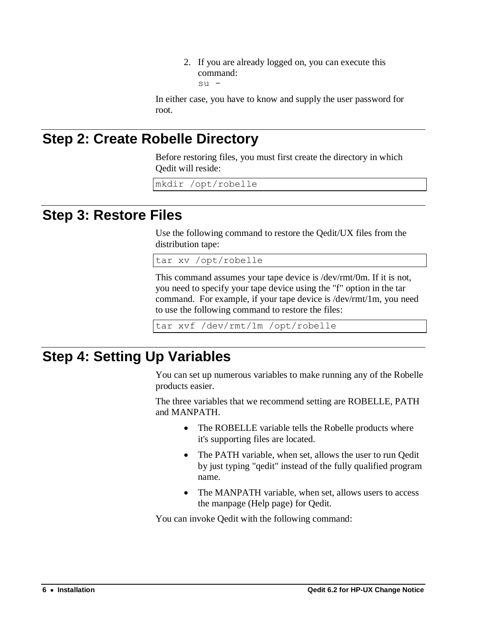2. If you are already logged on, you can execute this command: su -

In either case, you have to know and supply the user password for root.

## **Step 2: Create Robelle Directory**

Before restoring files, you must first create the directory in which Qedit will reside:

mkdir /opt/robelle

### **Step 3: Restore Files**

Use the following command to restore the Qedit/UX files from the distribution tape:

tar xv /opt/robelle

This command assumes your tape device is /dev/rmt/0m. If it is not, you need to specify your tape device using the "f" option in the tar command. For example, if your tape device is /dev/rmt/1m, you need to use the following command to restore the files:

tar xvf /dev/rmt/1m /opt/robelle

### **Step 4: Setting Up Variables**

You can set up numerous variables to make running any of the Robelle products easier.

The three variables that we recommend setting are ROBELLE, PATH and MANPATH.

- The ROBELLE variable tells the Robelle products where it's supporting files are located.
- The PATH variable, when set, allows the user to run Qedit by just typing "qedit" instead of the fully qualified program name.
- The MANPATH variable, when set, allows users to access the manpage (Help page) for Qedit.

You can invoke Qedit with the following command: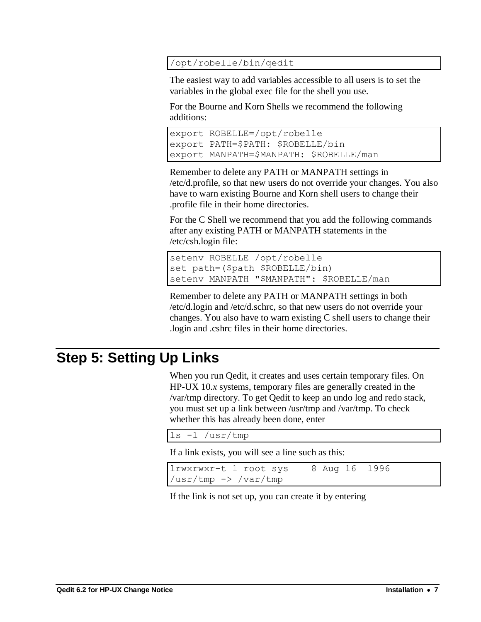#### /opt/robelle/bin/qedit

The easiest way to add variables accessible to all users is to set the variables in the global exec file for the shell you use.

For the Bourne and Korn Shells we recommend the following additions:

```
export ROBELLE=/opt/robelle
export PATH=$PATH: $ROBELLE/bin
export MANPATH=$MANPATH: $ROBELLE/man
```
Remember to delete any PATH or MANPATH settings in /etc/d.profile, so that new users do not override your changes. You also have to warn existing Bourne and Korn shell users to change their .profile file in their home directories.

For the C Shell we recommend that you add the following commands after any existing PATH or MANPATH statements in the /etc/csh.login file:

```
setenv ROBELLE /opt/robelle
set path=($path $ROBELLE/bin)
setenv MANPATH "$MANPATH": $ROBELLE/man
```
Remember to delete any PATH or MANPATH settings in both /etc/d.login and /etc/d.schrc, so that new users do not override your changes. You also have to warn existing C shell users to change their .login and .cshrc files in their home directories.

## **Step 5: Setting Up Links**

When you run Qedit, it creates and uses certain temporary files. On HP-UX 10.*x* systems, temporary files are generally created in the /var/tmp directory. To get Qedit to keep an undo log and redo stack, you must set up a link between /usr/tmp and /var/tmp. To check whether this has already been done, enter

```
ls -l /usr/tmp
```
If a link exists, you will see a line such as this:

```
lrwxrwxr-t 1 root sys 8 Aug 16 1996 
/usr/tmp -> /var/tmp
```
If the link is not set up, you can create it by entering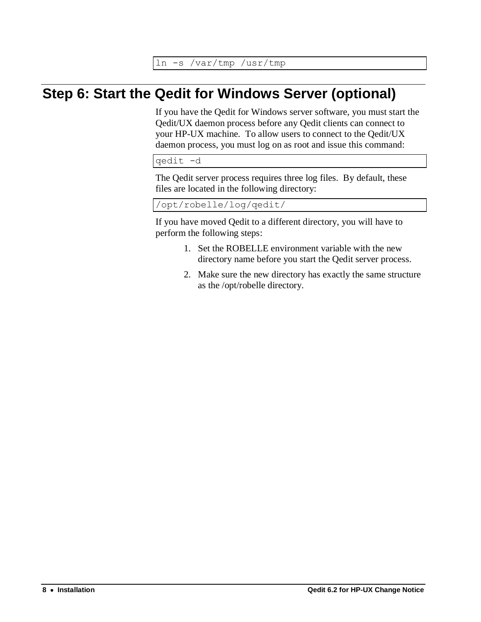ln -s /var/tmp /usr/tmp

## **Step 6: Start the Qedit for Windows Server (optional)**

If you have the Qedit for Windows server software, you must start the Qedit/UX daemon process before any Qedit clients can connect to your HP-UX machine. To allow users to connect to the Qedit/UX daemon process, you must log on as root and issue this command:

qedit -d

The Qedit server process requires three log files. By default, these files are located in the following directory:

/opt/robelle/log/qedit/

If you have moved Qedit to a different directory, you will have to perform the following steps:

- 1. Set the ROBELLE environment variable with the new directory name before you start the Qedit server process.
- 2. Make sure the new directory has exactly the same structure as the /opt/robelle directory.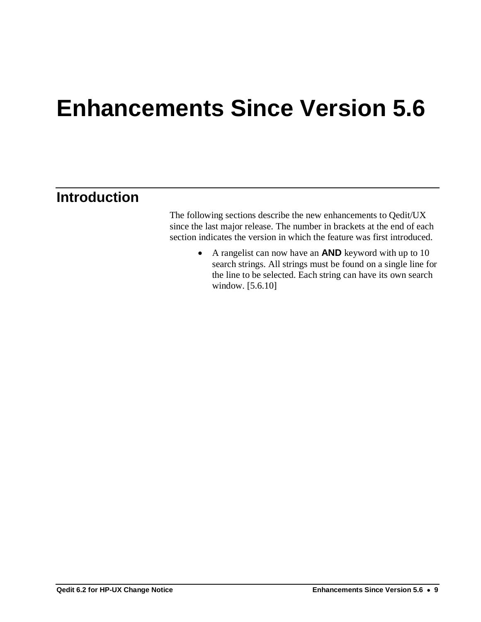## **Enhancements Since Version 5.6**

## **Introduction**

The following sections describe the new enhancements to Qedit/UX since the last major release. The number in brackets at the end of each section indicates the version in which the feature was first introduced.

> A rangelist can now have an **AND** keyword with up to 10 search strings. All strings must be found on a single line for the line to be selected. Each string can have its own search window. [5.6.10]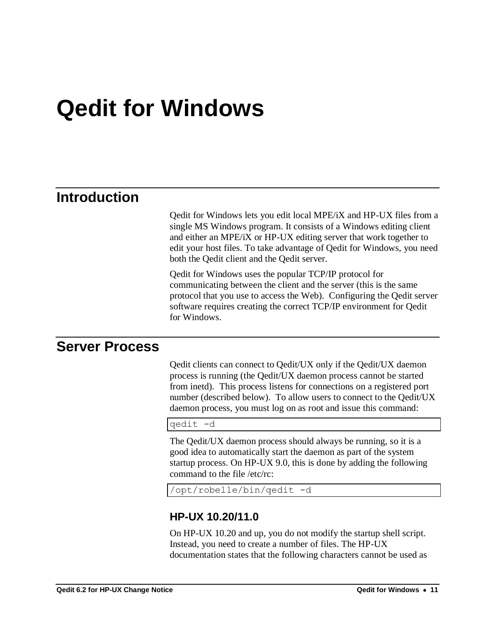## **Qedit for Windows**

### **Introduction**

Qedit for Windows lets you edit local MPE/iX and HP-UX files from a single MS Windows program. It consists of a Windows editing client and either an MPE/iX or HP-UX editing server that work together to edit your host files. To take advantage of Qedit for Windows, you need both the Qedit client and the Qedit server.

Qedit for Windows uses the popular TCP/IP protocol for communicating between the client and the server (this is the same protocol that you use to access the Web). Configuring the Qedit server software requires creating the correct TCP/IP environment for Qedit for Windows.

### **Server Process**

Qedit clients can connect to Qedit/UX only if the Qedit/UX daemon process is running (the Qedit/UX daemon process cannot be started from inetd). This process listens for connections on a registered port number (described below). To allow users to connect to the Qedit/UX daemon process, you must log on as root and issue this command:

qedit -d

The Qedit/UX daemon process should always be running, so it is a good idea to automatically start the daemon as part of the system startup process. On HP-UX 9.0, this is done by adding the following command to the file /etc/rc:

/opt/robelle/bin/qedit -d

#### **HP-UX 10.20/11.0**

On HP-UX 10.20 and up, you do not modify the startup shell script. Instead, you need to create a number of files. The HP-UX documentation states that the following characters cannot be used as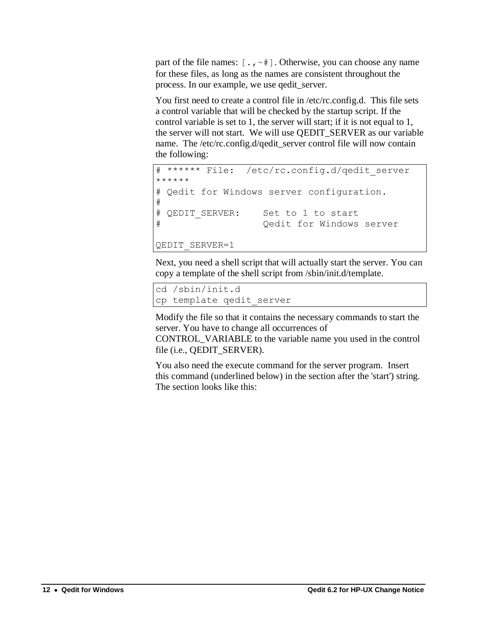part of the file names:  $[\cdot, \cdot]^*$ . Otherwise, you can choose any name for these files, as long as the names are consistent throughout the process. In our example, we use qedit\_server.

You first need to create a control file in /etc/rc.config.d. This file sets a control variable that will be checked by the startup script. If the control variable is set to 1, the server will start; if it is not equal to 1, the server will not start. We will use QEDIT\_SERVER as our variable name. The /etc/rc.config.d/qedit\_server control file will now contain the following:

```
# ****** File: /etc/rc.config.d/qedit server
******
# Qedit for Windows server configuration.
#
# OEDIT SERVER: Set to 1 to start
# Qedit for Windows server
QEDIT_SERVER=1
```
Next, you need a shell script that will actually start the server. You can copy a template of the shell script from /sbin/init.d/template.

```
cd /sbin/init.d
cp template qedit_server
```
Modify the file so that it contains the necessary commands to start the server. You have to change all occurrences of

CONTROL\_VARIABLE to the variable name you used in the control file (i.e., QEDIT\_SERVER).

You also need the execute command for the server program. Insert this command (underlined below) in the section after the 'start') string. The section looks like this: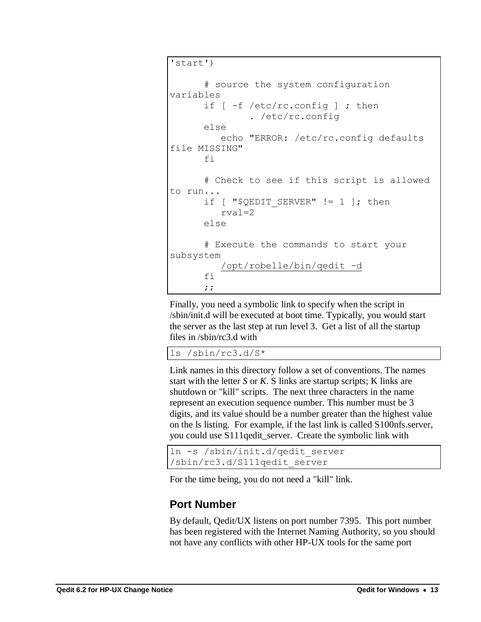```
'start')
       # source the system configuration 
variables
      if [-f /etc/rc.config]; then
                . /etc/rc.config
       else
          echo "ERROR: /etc/rc.config defaults 
file MISSING"
       fi
       # Check to see if this script is allowed 
to run...
      if [ "$QEDIT SERVER" != 1 ]; then
          rval=2
       else
       # Execute the commands to start your 
subsystem
          /opt/robelle/bin/qedit -d
       fi
       ;;
```
Finally, you need a symbolic link to specify when the script in /sbin/init.d will be executed at boot time. Typically, you would start the server as the last step at run level 3. Get a list of all the startup files in /sbin/rc3.d with

ls /sbin/rc3.d/S\*

Link names in this directory follow a set of conventions. The names start with the letter *S* or *K*. S links are startup scripts; K links are shutdown or "kill" scripts. The next three characters in the name represent an execution sequence number. This number must be 3 digits, and its value should be a number greater than the highest value on the ls listing. For example, if the last link is called S100nfs.server, you could use S111qedit\_server. Create the symbolic link with

```
ln -s /sbin/init.d/qedit_server 
/sbin/rc3.d/S111qedit_server
```
For the time being, you do not need a "kill" link.

### **Port Number**

By default, Qedit/UX listens on port number 7395. This port number has been registered with the Internet Naming Authority, so you should not have any conflicts with other HP-UX tools for the same port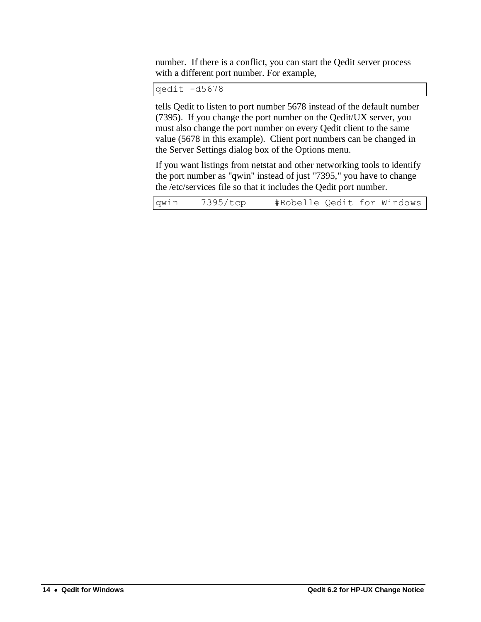number. If there is a conflict, you can start the Qedit server process with a different port number. For example,

qedit -d5678

tells Qedit to listen to port number 5678 instead of the default number (7395). If you change the port number on the Qedit/UX server, you must also change the port number on every Qedit client to the same value (5678 in this example). Client port numbers can be changed in the Server Settings dialog box of the Options menu.

If you want listings from netstat and other networking tools to identify the port number as "qwin" instead of just "7395," you have to change the /etc/services file so that it includes the Qedit port number.

| qwin | 7395/tcp | #Robelle Qedit for Windows |  |  |  |
|------|----------|----------------------------|--|--|--|
|------|----------|----------------------------|--|--|--|